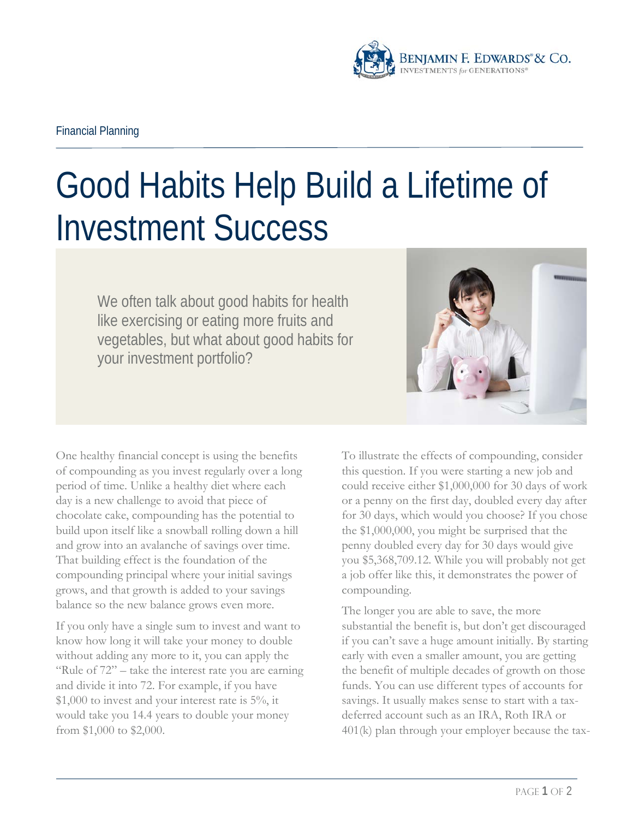

## Good Habits Help Build a Lifetime of Investment Success

We often talk about good habits for health like exercising or eating more fruits and vegetables, but what about good habits for your investment portfolio?



One healthy financial concept is using the benefits of compounding as you invest regularly over a long period of time. Unlike a healthy diet where each day is a new challenge to avoid that piece of chocolate cake, compounding has the potential to build upon itself like a snowball rolling down a hill and grow into an avalanche of savings over time. That building effect is the foundation of the compounding principal where your initial savings grows, and that growth is added to your savings balance so the new balance grows even more.

If you only have a single sum to invest and want to know how long it will take your money to double without adding any more to it, you can apply the "Rule of 72" – take the interest rate you are earning and divide it into 72. For example, if you have \$1,000 to invest and your interest rate is 5%, it would take you 14.4 years to double your money from \$1,000 to \$2,000.

To illustrate the effects of compounding, consider this question. If you were starting a new job and could receive either \$1,000,000 for 30 days of work or a penny on the first day, doubled every day after for 30 days, which would you choose? If you chose the \$1,000,000, you might be surprised that the penny doubled every day for 30 days would give you \$5,368,709.12. While you will probably not get a job offer like this, it demonstrates the power of compounding.

The longer you are able to save, the more substantial the benefit is, but don't get discouraged if you can't save a huge amount initially. By starting early with even a smaller amount, you are getting the benefit of multiple decades of growth on those funds. You can use different types of accounts for savings. It usually makes sense to start with a taxdeferred account such as an IRA, Roth IRA or 401(k) plan through your employer because the tax-